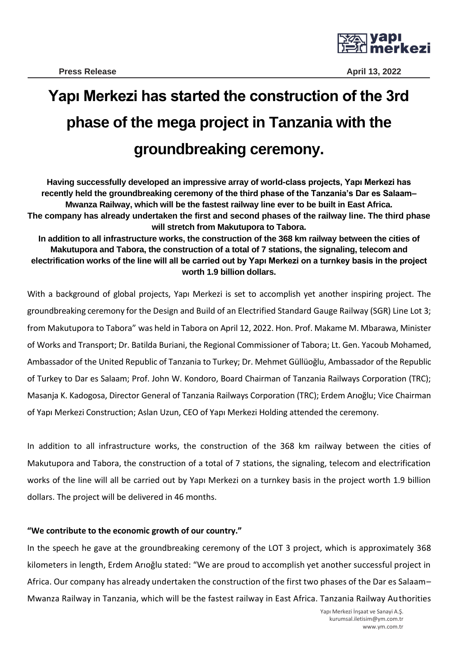

## **Yapı Merkezi has started the construction of the 3rd phase of the mega project in Tanzania with the groundbreaking ceremony.**

**Having successfully developed an impressive array of world-class projects, Yapı Merkezi has recently held the groundbreaking ceremony of the third phase of the Tanzania's Dar es Salaam– Mwanza Railway, which will be the fastest railway line ever to be built in East Africa. The company has already undertaken the first and second phases of the railway line. The third phase will stretch from Makutupora to Tabora.**

**In addition to all infrastructure works, the construction of the 368 km railway between the cities of Makutupora and Tabora, the construction of a total of 7 stations, the signaling, telecom and electrification works of the line will all be carried out by Yapı Merkezi on a turnkey basis in the project worth 1.9 billion dollars.**

With a background of global projects, Yapı Merkezi is set to accomplish yet another inspiring project. The groundbreaking ceremony for the Design and Build of an Electrified Standard Gauge Railway (SGR) Line Lot 3; from Makutupora to Tabora" was held in Tabora on April 12, 2022. Hon. Prof. Makame M. Mbarawa, Minister of Works and Transport; Dr. Batilda Buriani, the Regional Commissioner of Tabora; Lt. Gen. Yacoub Mohamed, Ambassador of the United Republic of Tanzania to Turkey; Dr. Mehmet Güllüoğlu, Ambassador of the Republic of Turkey to Dar es Salaam; Prof. John W. Kondoro, Board Chairman of Tanzania Railways Corporation (TRC); Masanja K. Kadogosa, Director General of Tanzania Railways Corporation (TRC); Erdem Arıoğlu; Vice Chairman of Yapı Merkezi Construction; Aslan Uzun, CEO of Yapı Merkezi Holding attended the ceremony.

In addition to all infrastructure works, the construction of the 368 km railway between the cities of Makutupora and Tabora, the construction of a total of 7 stations, the signaling, telecom and electrification works of the line will all be carried out by Yapı Merkezi on a turnkey basis in the project worth 1.9 billion dollars. The project will be delivered in 46 months.

## **"We contribute to the economic growth of our country."**

In the speech he gave at the groundbreaking ceremony of the LOT 3 project, which is approximately 368 kilometers in length, Erdem Arıoğlu stated: "We are proud to accomplish yet another successful project in Africa. Our company has already undertaken the construction of the first two phases of the Dar es Salaam– Mwanza Railway in Tanzania, which will be the fastest railway in East Africa. Tanzania Railway Authorities